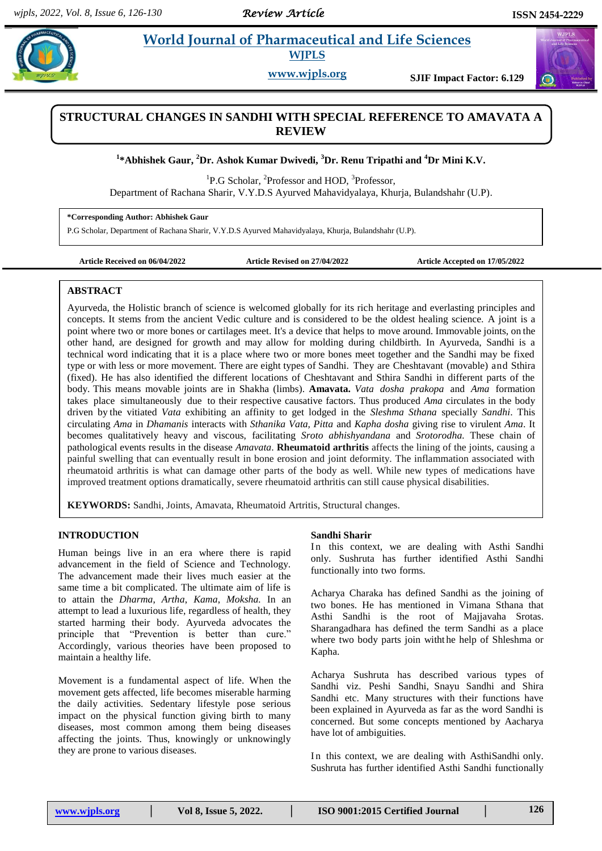# **Paramaceutical and Life Sciences WJPLS**

**www.wjpls.org SJIF Impact Factor: 6.129**

# **STRUCTURAL CHANGES IN SANDHI WITH SPECIAL REFERENCE TO AMAVATA A REVIEW**

**1 \*Abhishek Gaur, <sup>2</sup>Dr. Ashok Kumar Dwivedi, <sup>3</sup>Dr. Renu Tripathi and <sup>4</sup>Dr Mini K.V.**

<sup>1</sup>P.G Scholar, <sup>2</sup>Professor and HOD, <sup>3</sup>Professor, Department of Rachana Sharir, V.Y.D.S Ayurved Mahavidyalaya, Khurja, Bulandshahr (U.P).

**\*Corresponding Author: Abhishek Gaur**

P.G Scholar, Department of Rachana Sharir, V.Y.D.S Ayurved Mahavidyalaya, Khurja, Bulandshahr (U.P).

**Article Received on 06/04/2022 Article Revised on 27/04/2022 Article Accepted on 17/05/2022**

## **ABSTRACT**

Ayurveda, the Holistic branch of science is welcomed globally for its rich heritage and everlasting principles and concepts. It stems from the ancient Vedic culture and is considered to be the oldest healing science. A joint is a point where two or more bones or cartilages meet. It's a device that helps to move around. Immovable joints, on the other hand, are designed for growth and may allow for molding during childbirth. In Ayurveda, Sandhi is a technical word indicating that it is a place where two or more bones meet together and the Sandhi may be fixed type or with less or more movement. There are eight types of Sandhi. They are Cheshtavant (movable) and Sthira (fixed). He has also identified the different locations of Cheshtavant and Sthira Sandhi in different parts of the body. This means movable joints are in Shakha (limbs). **Amavata.** *Vata dosha prakopa* and *Ama* formation takes place simultaneously due to their respective causative factors. Thus produced *Ama* circulates in the body driven by the vitiated *Vata* exhibiting an affinity to get lodged in the *Sleshma Sthana* specially *Sandhi*. This circulating *Ama* in *Dhamanis* interacts with *Sthanika Vata, Pitta* and *Kapha dosha* giving rise to virulent *Ama*. It becomes qualitatively heavy and viscous, facilitating *Sroto abhishyandana* and *Srotorodha.* These chain of pathological events results in the disease *Amavata*. **Rheumatoid arthritis** affects the lining of the joints, causing a painful swelling that can eventually result in bone erosion and joint deformity. The inflammation associated with rheumatoid arthritis is what can damage other parts of the body as well. While new types of medications have improved treatment options dramatically, severe rheumatoid arthritis can still cause physical disabilities.

**KEYWORDS:** Sandhi, Joints, Amavata, Rheumatoid Artritis, Structural changes.

## **INTRODUCTION**

Human beings live in an era where there is rapid advancement in the field of Science and Technology. The advancement made their lives much easier at the same time a bit complicated. The ultimate aim of life is to attain the *Dharma*, *Artha*, *Kama*, *Moksha.* In an attempt to lead a luxurious life, regardless of health, they started harming their body. Ayurveda advocates the principle that "Prevention is better than cure." Accordingly, various theories have been proposed to maintain a healthy life.

Movement is a fundamental aspect of life. When the movement gets affected, life becomes miserable harming the daily activities. Sedentary lifestyle pose serious impact on the physical function giving birth to many diseases, most common among them being diseases affecting the joints. Thus, knowingly or unknowingly they are prone to various diseases.

## **Sandhi Sharir**

In this context, we are dealing with Asthi Sandhi only. Sushruta has further identified Asthi Sandhi functionally into two forms.

Acharya Charaka has defined Sandhi as the joining of two bones. He has mentioned in Vimana Sthana that Asthi Sandhi is the root of Majjavaha Srotas. Sharangadhara has defined the term Sandhi as a place where two body parts join witht he help of Shleshma or Kapha.

Acharya Sushruta has described various types of Sandhi viz. Peshi Sandhi, Snayu Sandhi and Shira Sandhi etc. Many structures with their functions have been explained in Ayurveda as far as the word Sandhi is concerned. But some concepts mentioned by Aacharya have lot of ambiguities.

In this context, we are dealing with AsthiSandhi only. Sushruta has further identified Asthi Sandhi functionally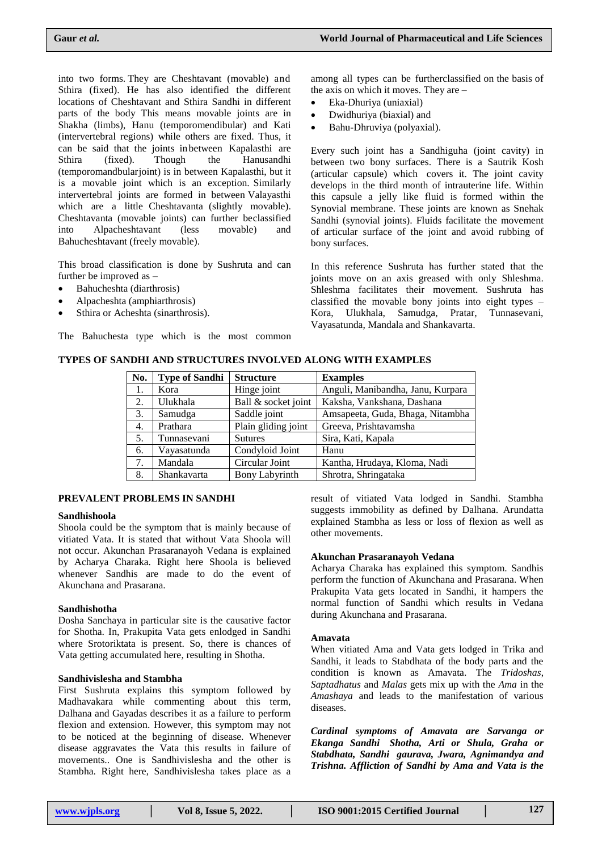into two forms. They are Cheshtavant (movable) and Sthira (fixed). He has also identified the different locations of Cheshtavant and Sthira Sandhi in different parts of the body This means movable joints are in Shakha (limbs), Hanu (temporomendibular) and Kati (intervertebral regions) while others are fixed. Thus, it can be said that the joints in between Kapalasthi are Sthira (fixed). Though the Hanusandhi (temporomandbularjoint) is in between Kapalasthi, but it is a movable joint which is an exception. Similarly intervertebral joints are formed in between Valayasthi which are a little Cheshtavanta (slightly movable). Cheshtavanta (movable joints) can further beclassified into Alpacheshtavant (less movable) and Bahucheshtavant (freely movable).

This broad classification is done by Sushruta and can further be improved as –

- Bahucheshta (diarthrosis)
- Alpacheshta (amphiarthrosis)
- Sthira or Acheshta (sinarthrosis).

The Bahuchesta type which is the most common

among all types can be furtherclassified on the basis of the axis on which it moves. They are –

- Eka-Dhuriya (uniaxial)
- Dwidhuriya (biaxial) and
- Bahu-Dhruviya (polyaxial).

Every such joint has a Sandhiguha (joint cavity) in between two bony surfaces. There is a Sautrik Kosh (articular capsule) which covers it. The joint cavity develops in the third month of intrauterine life. Within this capsule a jelly like fluid is formed within the Synovial membrane. These joints are known as Snehak Sandhi (synovial joints). Fluids facilitate the movement of articular surface of the joint and avoid rubbing of bony surfaces.

In this reference Sushruta has further stated that the joints move on an axis greased with only Shleshma. Shleshma facilitates their movement. Sushruta has classified the movable bony joints into eight types – Kora, Ulukhala, Samudga, Pratar, Tunnasevani, Vayasatunda, Mandala and Shankavarta.

## **TYPES OF SANDHI AND STRUCTURES INVOLVED ALONG WITH EXAMPLES**

| No.              | <b>Type of Sandhi</b> | <b>Structure</b>      | <b>Examples</b>                   |
|------------------|-----------------------|-----------------------|-----------------------------------|
| 1.               | Kora                  | Hinge joint           | Anguli, Manibandha, Janu, Kurpara |
| 2.               | Ulukhala              | Ball & socket joint   | Kaksha, Vankshana, Dashana        |
| 3.               | Samudga               | Saddle joint          | Amsapeeta, Guda, Bhaga, Nitambha  |
| $\overline{4}$ . | Prathara              | Plain gliding joint   | Greeva, Prishtavamsha             |
| 5.               | Tunnasevani           | <b>Sutures</b>        | Sira, Kati, Kapala                |
| 6.               | Vayasatunda           | Condyloid Joint       | Hanu                              |
| 7.               | Mandala               | Circular Joint        | Kantha, Hrudaya, Kloma, Nadi      |
| 8.               | Shankavarta           | <b>Bony Labyrinth</b> | Shrotra, Shringataka              |

#### **PREVALENT PROBLEMS IN SANDHI**

#### **Sandhishoola**

Shoola could be the symptom that is mainly because of vitiated Vata. It is stated that without Vata Shoola will not occur. Akunchan Prasaranayoh Vedana is explained by Acharya Charaka. Right here Shoola is believed whenever Sandhis are made to do the event of Akunchana and Prasarana.

#### **Sandhishotha**

Dosha Sanchaya in particular site is the causative factor for Shotha. In, Prakupita Vata gets enlodged in Sandhi where Srotoriktata is present. So, there is chances of Vata getting accumulated here, resulting in Shotha.

#### **Sandhivislesha and Stambha**

First Sushruta explains this symptom followed by Madhavakara while commenting about this term, Dalhana and Gayadas describes it as a failure to perform flexion and extension. However, this symptom may not to be noticed at the beginning of disease. Whenever disease aggravates the Vata this results in failure of movements.. One is Sandhivislesha and the other is Stambha. Right here, Sandhivislesha takes place as a

result of vitiated Vata lodged in Sandhi. Stambha suggests immobility as defined by Dalhana. Arundatta explained Stambha as less or loss of flexion as well as other movements.

#### **Akunchan Prasaranayoh Vedana**

Acharya Charaka has explained this symptom. Sandhis perform the function of Akunchana and Prasarana. When Prakupita Vata gets located in Sandhi, it hampers the normal function of Sandhi which results in Vedana during Akunchana and Prasarana.

#### **Amavata**

When vitiated Ama and Vata gets lodged in Trika and Sandhi, it leads to Stabdhata of the body parts and the condition is known as Amavata. The *Tridoshas*, *Saptadhatus* and *Malas* gets mix up with the *Ama* in the *Amashaya* and leads to the manifestation of various diseases.

*Cardinal symptoms of Amavata are Sarvanga or Ekanga Sandhi Shotha, Arti or Shula, Graha or Stabdhata, Sandhi gaurava, Jwara, Agnimandya and Trishna. Affliction of Sandhi by Ama and Vata is the*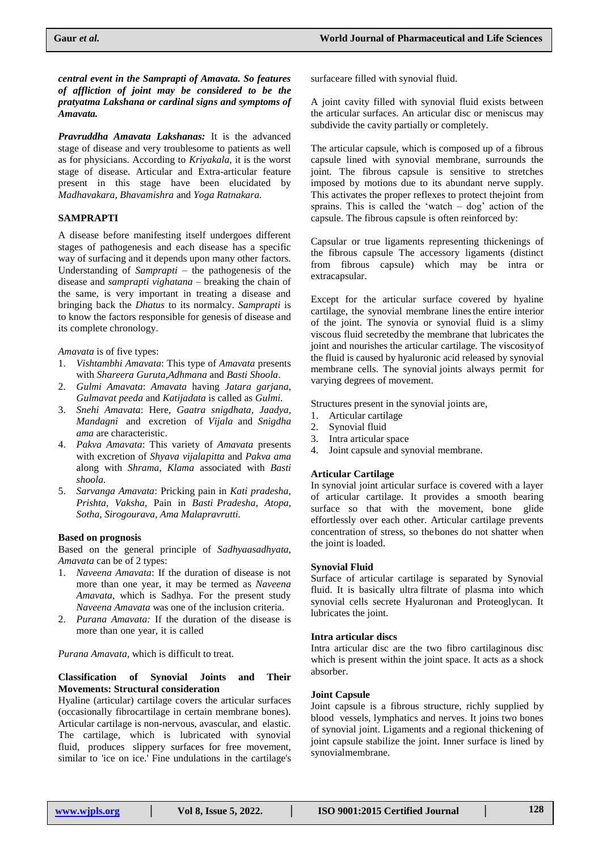*central event in the Samprapti of Amavata. So features of affliction of joint may be considered to be the pratyatma Lakshana or cardinal signs and symptoms of Amavata.*

*Pravruddha Amavata Lakshanas:* It is the advanced stage of disease and very troublesome to patients as well as for physicians. According to *Kriyakala,* it is the worst stage of disease. Articular and Extra-articular feature present in this stage have been elucidated by *Madhavakara, Bhavamishra* and *Yoga Ratnakara.*

# **SAMPRAPTI**

A disease before manifesting itself undergoes different stages of pathogenesis and each disease has a specific way of surfacing and it depends upon many other factors. Understanding of *Samprapti* – the pathogenesis of the disease and *samprapti vighatana* – breaking the chain of the same, is very important in treating a disease and bringing back the *Dhatus* to its normalcy. *Samprapti* is to know the factors responsible for genesis of disease and its complete chronology.

*Amavata* is of five types:

- 1. *Vishtambhi Amavata*: This type of *Amavata* presents with *Shareera Guruta,Adhmana* and *Basti Shoola*.
- 2. *Gulmi Amavata*: *Amavata* having *Jatara garjana, Gulmavat peeda* and *Katijadata* is called as *Gulmi.*
- 3. *Snehi Amavata*: Here, *Gaatra snigdhata, Jaadya, Mandagni* and excretion of *Vijala* and *Snigdha ama* are characteristic.
- 4. *Pakva Amavata*: This variety of *Amavata* presents with excretion of *Shyava vijalapitta* and *Pakva ama* along with *Shrama, Klama* associated with *Basti shoola.*
- 5. *Sarvanga Amavata*: Pricking pain in *Kati pradesha, Prishta, Vaksha,* Pain in *Basti Pradesha, Atopa, Sotha, Sirogourava, Ama Malapravrutti.*

## **Based on prognosis**

Based on the general principle of *Sadhyaasadhyata, Amavata* can be of 2 types:

- 1. *Naveena Amavata*: If the duration of disease is not more than one year, it may be termed as *Naveena Amavata*, which is Sadhya. For the present study *Naveena Amavata* was one of the inclusion criteria.
- 2. *Purana Amavata:* If the duration of the disease is more than one year, it is called

*Purana Amavata*, which is difficult to treat.

## **Classification of Synovial Joints and Their Movements: Structural consideration**

Hyaline (articular) cartilage covers the articular surfaces (occasionally fibrocartilage in certain membrane bones). Articular cartilage is non-nervous, avascular, and elastic. The cartilage, which is lubricated with synovial fluid, produces slippery surfaces for free movement, similar to 'ice on ice.' Fine undulations in the cartilage's surfaceare filled with synovial fluid.

A joint cavity filled with synovial fluid exists between the articular surfaces. An articular disc or meniscus may subdivide the cavity partially or completely.

The articular capsule, which is composed up of a fibrous capsule lined with synovial membrane, surrounds the joint. The fibrous capsule is sensitive to stretches imposed by motions due to its abundant nerve supply. This activates the proper reflexes to protect thejoint from sprains. This is called the 'watch  $-$  dog' action of the capsule. The fibrous capsule is often reinforced by:

Capsular or true ligaments representing thickenings of the fibrous capsule The accessory ligaments (distinct from fibrous capsule) which may be intra or extracapsular.

Except for the articular surface covered by hyaline cartilage, the synovial membrane linesthe entire interior of the joint. The synovia or synovial fluid is a slimy viscous fluid secretedby the membrane that lubricates the joint and nourishes the articular cartilage. The viscosityof the fluid is caused by hyaluronic acid released by synovial membrane cells. The synovial joints always permit for varying degrees of movement.

Structures present in the synovial joints are,

- 1. Articular cartilage
- 2. Synovial fluid
- 3. Intra articular space
- 4. Joint capsule and synovial membrane.

## **Articular Cartilage**

In synovial joint articular surface is covered with a layer of articular cartilage. It provides a smooth bearing surface so that with the movement, bone glide effortlessly over each other. Articular cartilage prevents concentration of stress, so thebones do not shatter when the joint is loaded.

#### **Synovial Fluid**

Surface of articular cartilage is separated by Synovial fluid. It is basically ultra filtrate of plasma into which synovial cells secrete Hyaluronan and Proteoglycan. It lubricates the joint.

#### **Intra articular discs**

Intra articular disc are the two fibro cartilaginous disc which is present within the joint space. It acts as a shock absorber.

## **Joint Capsule**

Joint capsule is a fibrous structure, richly supplied by blood vessels, lymphatics and nerves. It joins two bones of synovial joint. Ligaments and a regional thickening of joint capsule stabilize the joint. Inner surface is lined by synovialmembrane.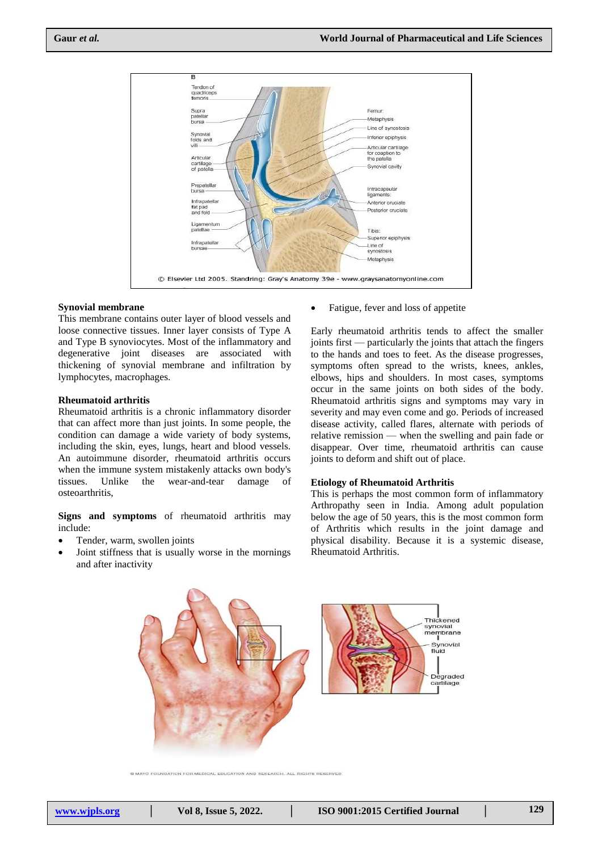

## **Synovial membrane**

This membrane contains outer layer of blood vessels and loose connective tissues. Inner layer consists of Type A and Type B synoviocytes. Most of the inflammatory and degenerative joint diseases are associated with thickening of synovial membrane and infiltration by lymphocytes, macrophages.

#### **Rheumatoid arthritis**

Rheumatoid arthritis is a chronic inflammatory disorder that can affect more than just joints. In some people, the condition can damage a wide variety of body systems, including the skin, eyes, lungs, heart and blood vessels. An autoimmune disorder, rheumatoid arthritis occurs when the immune system mistakenly attacks own body's tissues. Unlike the wear-and-tear damage of osteoarthritis,

**Signs and symptoms** of rheumatoid arthritis may include:

- Tender, warm, swollen joints
- Joint stiffness that is usually worse in the mornings and after inactivity

• Fatigue, fever and loss of appetite

Early rheumatoid arthritis tends to affect the smaller joints first — particularly the joints that attach the fingers to the hands and toes to feet. As the disease progresses, symptoms often spread to the wrists, knees, ankles, elbows, hips and shoulders. In most cases, symptoms occur in the same joints on both sides of the body. Rheumatoid arthritis signs and symptoms may vary in severity and may even come and go. Periods of increased disease activity, called flares, alternate with periods of relative remission — when the swelling and pain fade or disappear. Over time, rheumatoid arthritis can cause joints to deform and shift out of place.

#### **Etiology of Rheumatoid Arthritis**

This is perhaps the most common form of inflammatory Arthropathy seen in India. Among adult population below the age of 50 years, this is the most common form of Arthritis which results in the joint damage and physical disability. Because it is a systemic disease, Rheumatoid Arthritis.



@ MAYO FOUNDATION FOR MEDICAL EDUCATION AND RESEARCH. ALL RIGHTS RESERVED